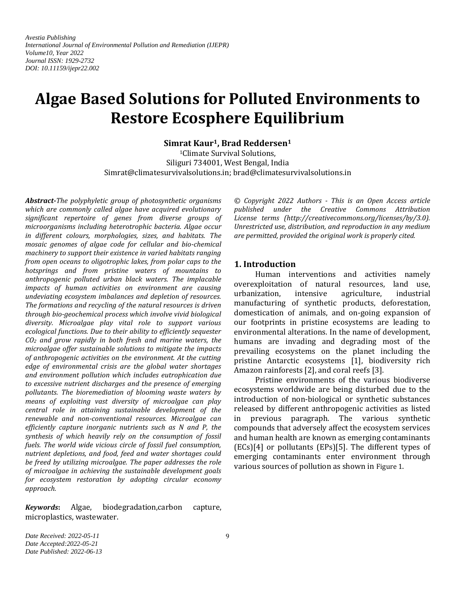*Avestia Publishing International Journal of Environmental Pollution and Remediation (IJEPR) Volume10, Year 2022 Journal ISSN: 1929-2732 DOI: 10.11159/ijepr22.002*

# **Algae Based Solutions for Polluted Environments to Restore Ecosphere Equilibrium**

**Simrat Kaur1, Brad Reddersen<sup>1</sup>**

<sup>1</sup>Climate Survival Solutions, Siliguri 734001, West Bengal, India Simrat@climatesurvivalsolutions.in; brad@climatesurvivalsolutions.in

*Abstract-The polyphyletic group of photosynthetic organisms which are commonly called algae have acquired evolutionary significant repertoire of genes from diverse groups of microorganisms including heterotrophic bacteria. Algae occur in different colours, morphologies, sizes, and habitats. The mosaic genomes of algae code for cellular and bio-chemical machinery to support their existence in varied habitats ranging from open oceans to oligotrophic lakes, from polar caps to the hotsprings and from pristine waters of mountains to anthropogenic polluted urban black waters. The implacable impacts of human activities on environment are causing undeviating ecosystem imbalances and depletion of resources. The formations and recycling of the natural resources is driven through bio-geochemical process which involve vivid biological diversity. Microalgae play vital role to support various ecological functions. Due to their ability to efficiently sequester CO<sup>2</sup> and grow rapidly in both fresh and marine waters, the microalgae offer sustainable solutions to mitigate the impacts of anthropogenic activities on the environment. At the cutting edge of environmental crisis are the global water shortages and environment pollution which includes eutrophication due to excessive nutrient discharges and the presence of emerging pollutants. The bioremediation of blooming waste waters by means of exploiting vast diversity of microalgae can play central role in attaining sustainable development of the renewable and non-conventional resources. Microalgae can efficiently capture inorganic nutrients such as N and P, the synthesis of which heavily rely on the consumption of fossil fuels. The world wide vicious circle of fossil fuel consumption, nutrient depletions, and food, feed and water shortages could be freed by utilizing microalgae. The paper addresses the role of microalgae in achieving the sustainable development goals for ecosystem restoration by adopting circular economy approach.*

*Keywords***:** Algae, biodegradation,carbon capture, microplastics, wastewater.

*© Copyright 2022 Authors - This is an Open Access article published under the Creative Commons Attribution License terms (http://creativecommons.org/licenses/by/3.0). Unrestricted use, distribution, and reproduction in any medium are permitted, provided the original work is properly cited.*

#### **1. Introduction**

Human interventions and activities namely overexploitation of natural resources, land use, urbanization, intensive agriculture, industrial manufacturing of synthetic products, deforestation, domestication of animals, and on-going expansion of our footprints in pristine ecosystems are leading to environmental alterations. In the name of development, humans are invading and degrading most of the prevailing ecosystems on the planet including the pristine Antarctic ecosystems [1], biodiversity rich Amazon rainforests [2], and coral reefs [3].

Pristine environments of the various biodiverse ecosystems worldwide are being disturbed due to the introduction of non-biological or synthetic substances released by different anthropogenic activities as listed in previous paragraph. The various synthetic compounds that adversely affect the ecosystem services and human health are known as emerging contaminants (ECs)[4] or pollutants (EPs)[5]. The different types of emerging contaminants enter environment through various sources of pollution as shown in [Figure 1](#page-1-0).

*Date Received: 2022-05-11 Date Accepted:2022-05-21 Date Published: 2022-06-13*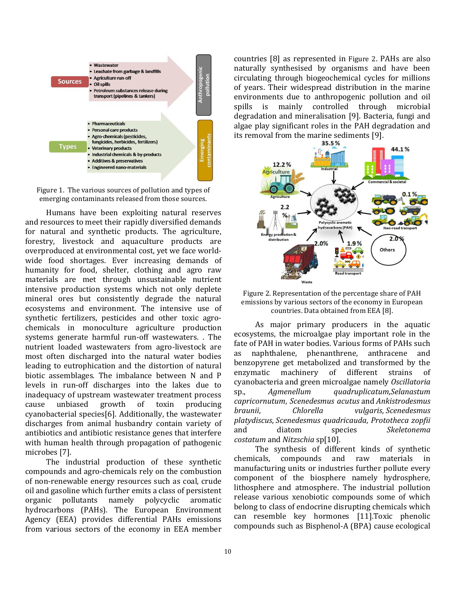

<span id="page-1-0"></span>Figure 1. The various sources of pollution and types of emerging contaminants released from those sources.

Humans have been exploiting natural reserves and resources to meet their rapidly diversified demands for natural and synthetic products. The agriculture, forestry, livestock and aquaculture products are overproduced at environmental cost, yet we face worldwide food shortages. Ever increasing demands of humanity for food, shelter, clothing and agro raw materials are met through unsustainable nutrient intensive production systems which not only deplete mineral ores but consistently degrade the natural ecosystems and environment. The intensive use of synthetic fertilizers, pesticides and other toxic agrochemicals in monoculture agriculture production systems generate harmful run-off wastewaters. . The nutrient loaded wastewaters from agro-livestock are most often discharged into the natural water bodies leading to eutrophication and the distortion of natural biotic assemblages. The imbalance between N and P levels in run-off discharges into the lakes due to inadequacy of upstream wastewater treatment process cause unbiased growth of toxin producing cyanobacterial species[6]. Additionally, the wastewater discharges from animal husbandry contain variety of antibiotics and antibiotic resistance genes that interfere with human health through propagation of pathogenic microbes [7].

The industrial production of these synthetic compounds and agro-chemicals rely on the combustion of non-renewable energy resources such as coal, crude oil and gasoline which further emits a class of persistent organic pollutants namely polycyclic aromatic hydrocarbons (PAHs). The European Environment Agency (EEA) provides differential PAHs emissions from various sectors of the economy in EEA member

countries [8] as represented in [Figure 2](#page-1-1). PAHs are also naturally synthesised by organisms and have been circulating through biogeochemical cycles for millions of years. Their widespread distribution in the marine environments due to anthropogenic pollution and oil spills is mainly controlled through microbial degradation and mineralisation [9]. Bacteria, fungi and algae play significant roles in the PAH degradation and its removal from the marine sediments [9].<br> $35.5\%$ 



<span id="page-1-1"></span>

As major primary producers in the aquatic ecosystems, the microalgae play important role in the fate of PAH in water bodies. Various forms of PAHs such as naphthalene, phenanthrene, anthracene and benzopyrene get metabolized and transformed by the enzymatic machinery of different strains of cyanobacteria and green microalgae namely *Oscillatoria* sp., *Agmenellum quadruplicatum*,*Selanastum capricornutum*, *Scenedesmus acutus* and *Ankistrodesmus braunii*, *Chlorella vulgaris*, *Scenedesmus platydiscus*, *Scenedesmus quadricauda*, *Prototheca zopfii* and diatom species *Skeletonema costatum* and *Nitzschia* sp[10].

The synthesis of different kinds of synthetic chemicals, compounds and raw materials in manufacturing units or industries further pollute every component of the biosphere namely hydrosphere, lithosphere and atmosphere. The industrial pollution release various xenobiotic compounds some of which belong to class of endocrine disrupting chemicals which can resemble key hormones [11].Toxic phenolic compounds such as Bisphenol-A (BPA) cause ecological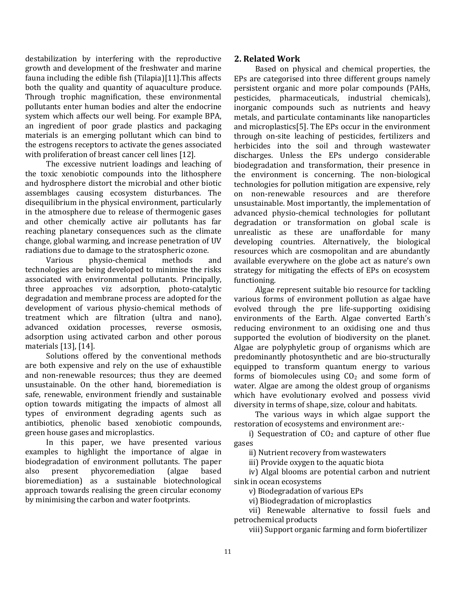destabilization by interfering with the reproductive growth and development of the freshwater and marine fauna including the edible fish (Tilapia)[11].This affects both the quality and quantity of aquaculture produce. Through trophic magnification, these environmental pollutants enter human bodies and alter the endocrine system which affects our well being. For example BPA, an ingredient of poor grade plastics and packaging materials is an emerging pollutant which can bind to the estrogens receptors to activate the genes associated with proliferation of breast cancer cell lines [12].

The excessive nutrient loadings and leaching of the toxic xenobiotic compounds into the lithosphere and hydrosphere distort the microbial and other biotic assemblages causing ecosystem disturbances. The disequilibrium in the physical environment, particularly in the atmosphere due to release of thermogenic gases and other chemically active air pollutants has far reaching planetary consequences such as the climate change, global warming, and increase penetration of UV radiations due to damage to the stratospheric ozone.

Various physio-chemical methods and technologies are being developed to minimise the risks associated with environmental pollutants. Principally, three approaches viz adsorption, photo-catalytic degradation and membrane process are adopted for the development of various physio-chemical methods of treatment which are filtration (ultra and nano), advanced oxidation processes, reverse osmosis, adsorption using activated carbon and other porous materials [13], [14].

Solutions offered by the conventional methods are both expensive and rely on the use of exhaustible and non-renewable resources; thus they are deemed unsustainable. On the other hand, bioremediation is safe, renewable, environment friendly and sustainable option towards mitigating the impacts of almost all types of environment degrading agents such as antibiotics, phenolic based xenobiotic compounds, green house gases and microplastics.

In this paper, we have presented various examples to highlight the importance of algae in biodegradation of environment pollutants. The paper also present phycoremediation (algae based bioremediation) as a sustainable biotechnological approach towards realising the green circular economy by minimising the carbon and water footprints.

# **2. Related Work**

Based on physical and chemical properties, the EPs are categorised into three different groups namely persistent organic and more polar compounds (PAHs, pesticides, pharmaceuticals, industrial chemicals), inorganic compounds such as nutrients and heavy metals, and particulate contaminants like nanoparticles and microplastics[5]. The EPs occur in the environment through on-site leaching of pesticides, fertilizers and herbicides into the soil and through wastewater discharges. Unless the EPs undergo considerable biodegradation and transformation, their presence in the environment is concerning. The non-biological technologies for pollution mitigation are expensive, rely on non-renewable resources and are therefore unsustainable. Most importantly, the implementation of advanced physio-chemical technologies for pollutant degradation or transformation on global scale is unrealistic as these are unaffordable for many developing countries. Alternatively, the biological resources which are cosmopolitan and are abundantly available everywhere on the globe act as nature's own strategy for mitigating the effects of EPs on ecosystem functioning.

Algae represent suitable bio resource for tackling various forms of environment pollution as algae have evolved through the pre life-supporting oxidising environments of the Earth. Algae converted Earth's reducing environment to an oxidising one and thus supported the evolution of biodiversity on the planet. Algae are polyphyletic group of organisms which are predominantly photosynthetic and are bio-structurally equipped to transform quantum energy to various forms of biomolecules using  $CO<sub>2</sub>$  and some form of water. Algae are among the oldest group of organisms which have evolutionary evolved and possess vivid diversity in terms of shape, size, colour and habitats.

The various ways in which algae support the restoration of ecosystems and environment are:-

i) Sequestration of  $CO<sub>2</sub>$  and capture of other flue gases

ii) Nutrient recovery from wastewaters

iii) Provide oxygen to the aquatic biota

iv) Algal blooms are potential carbon and nutrient sink in ocean ecosystems

v) Biodegradation of various EPs

vi) Biodegradation of microplastics

vii) Renewable alternative to fossil fuels and petrochemical products

viii) Support organic farming and form biofertilizer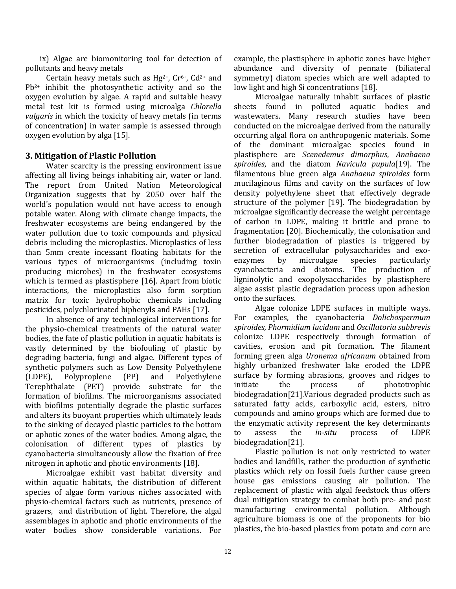ix) Algae are biomonitoring tool for detection of pollutants and heavy metals

Certain heavy metals such as  $Hg^{2+}$ , Cr<sup>6+</sup>, Cd<sup>2+</sup> and Pb2+ inhibit the photosynthetic activity and so the oxygen evolution by algae. A rapid and suitable heavy metal test kit is formed using microalga *Chlorella vulgaris* in which the toxicity of heavy metals (in terms of concentration) in water sample is assessed through oxygen evolution by alga [15].

# **3. Mitigation of Plastic Pollution**

Water scarcity is the pressing environment issue affecting all living beings inhabiting air, water or land. The report from United Nation Meteorological Organization suggests that by 2050 over half the world's population would not have access to enough potable water. Along with climate change impacts, the freshwater ecosystems are being endangered by the water pollution due to toxic compounds and physical debris including the microplastics. Microplastics of less than 5mm create incessant floating habitats for the various types of microorganisms (including toxin producing microbes) in the freshwater ecosystems which is termed as plastisphere [16]. Apart from biotic interactions, the microplastics also form sorption matrix for toxic hydrophobic chemicals including pesticides, polychlorinated biphenyls and PAHs [17].

In absence of any technological interventions for the physio-chemical treatments of the natural water bodies, the fate of plastic pollution in aquatic habitats is vastly determined by the biofouling of plastic by degrading bacteria, fungi and algae. Different types of synthetic polymers such as Low Density Polyethylene (LDPE), Polyproplene (PP) and Polyethylene Terephthalate (PET) provide substrate for the formation of biofilms. The microorganisms associated with biofilms potentially degrade the plastic surfaces and alters its buoyant properties which ultimately leads to the sinking of decayed plastic particles to the bottom or aphotic zones of the water bodies. Among algae, the colonisation of different types of plastics by cyanobacteria simultaneously allow the fixation of free nitrogen in aphotic and photic environments [18].

Microalgae exhibit vast habitat diversity and within aquatic habitats, the distribution of different species of algae form various niches associated with physio-chemical factors such as nutrients, presence of grazers, and distribution of light. Therefore, the algal assemblages in aphotic and photic environments of the water bodies show considerable variations. For

example, the plastisphere in aphotic zones have higher abundance and diversity of pennate (biliateral symmetry) diatom species which are well adapted to low light and high Si concentrations [18].

Microalgae naturally inhabit surfaces of plastic sheets found in polluted aquatic bodies and wastewaters. Many research studies have been conducted on the microalgae derived from the naturally occurring algal flora on anthropogenic materials. Some of the dominant microalgae species found in plastisphere are *Scenedemus dimorphus*, *Anabaena spiroides*, and the diatom *Navicula pupula*[19]. The filamentous blue green alga *Anabaena spiroides* form mucilaginous films and cavity on the surfaces of low density polyethylene sheet that effectively degrade structure of the polymer [19]. The biodegradation by microalgae significantly decrease the weight percentage of carbon in LDPE, making it brittle and prone to fragmentation [20]. Biochemically, the colonisation and further biodegradation of plastics is triggered by secretion of extracellular polysaccharides and exoenzymes by microalgae species particularly cyanobacteria and diatoms. The production of ligninolytic and exopolysaccharides by plastisphere algae assist plastic degradation process upon adhesion onto the surfaces.

Algae colonize LDPE surfaces in multiple ways. For examples, the cyanobacteria *Dolichospermum spiroides, Phormidium lucidum* and *Oscillatoria subbrevis* colonize LDPE respectively through formation of cavities, erosion and pit formation. The filament forming green alga *Uronema africanum* obtained from highly urbanized freshwater lake eroded the LDPE surface by forming abrasions, grooves and ridges to initiate the process of phototrophic biodegradation[21].Various degraded products such as saturated fatty acids, carboxylic acid, esters, nitro compounds and amino groups which are formed due to the enzymatic activity represent the key determinants to assess the *in-situ* process of LDPE biodegradation[21].

Plastic pollution is not only restricted to water bodies and landfills, rather the production of synthetic plastics which rely on fossil fuels further cause green house gas emissions causing air pollution. The replacement of plastic with algal feedstock thus offers dual mitigation strategy to combat both pre- and post manufacturing environmental pollution. Although agriculture biomass is one of the proponents for bio plastics, the bio-based plastics from potato and corn are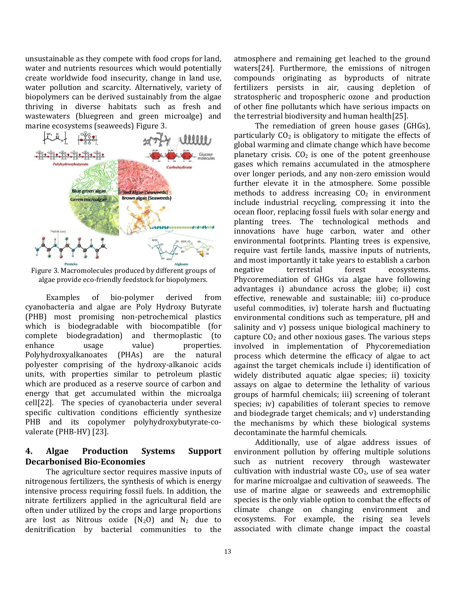unsustainable as they compete with food crops for land, water and nutrients resources which would potentially create worldwide food insecurity, change in land use, water pollution and scarcity. Alternatively, variety of biopolymers can be derived sustainably from the algae thriving in diverse habitats such as fresh and wastewaters (bluegreen and green microalge) and marine ecosystems (seaweeds) [Figure 3.](#page-4-0)



<span id="page-4-0"></span>Figure 3. Macromolecules produced by different groups of algae provide eco-friendly feedstock for biopolymers.

Examples of bio-polymer derived from cyanobacteria and algae are Poly Hydroxy Butyrate (PHB) most promising non-petrochemical plastics which is biodegradable with biocompatible (for complete biodegradation) and thermoplastic (to enhance usage value) properties. Polyhydroxyalkanoates (PHAs) are the natural polyester comprising of the hydroxy-alkanoic acids units, with properties similar to petroleum plastic which are produced as a reserve source of carbon and energy that get accumulated within the microalga cell[22]. The species of cyanobacteria under several specific cultivation conditions efficiently synthesize PHB and its copolymer polyhydroxybutyrate-covalerate (PHB-HV) [23].

## **4. Algae Production Systems Support Decarbonised Bio-Economies**

The agriculture sector requires massive inputs of nitrogenous fertilizers, the synthesis of which is energy intensive process requiring fossil fuels. In addition, the nitrate fertilizers applied in the agricultural field are often under utilized by the crops and large proportions are lost as Nitrous oxide  $(N_2O)$  and  $N_2$  due to denitrification by bacterial communities to the

atmosphere and remaining get leached to the ground waters[24]. Furthermore, the emissions of nitrogen compounds originating as byproducts of nitrate fertilizers persists in air, causing depletion of stratospheric and tropospheric ozone and production of other fine pollutants which have serious impacts on the terrestrial biodiversity and human health[25].

The remediation of green house gases (GHGs), particularly  $CO<sub>2</sub>$  is obligatory to mitigate the effects of global warming and climate change which have become planetary crisis.  $CO<sub>2</sub>$  is one of the potent greenhouse gases which remains accumulated in the atmosphere over longer periods, and any non-zero emission would further elevate it in the atmosphere. Some possible methods to address increasing  $CO<sub>2</sub>$  in environment include industrial recycling, compressing it into the ocean floor, replacing fossil fuels with solar energy and planting trees. The technological methods and innovations have huge carbon, water and other environmental footprints. Planting trees is expensive, require vast fertile lands, massive inputs of nutrients, and most importantly it take years to establish a carbon negative terrestrial forest ecosystems. Phycoremediation of GHGs via algae have following advantages i) abundance across the globe; ii) cost effective, renewable and sustainable; iii) co-produce useful commodities, iv) tolerate harsh and fluctuating environmental conditions such as temperature, pH and salinity and v) possess unique biological machinery to capture  $CO<sub>2</sub>$  and other noxious gases. The various steps involved in implementation of Phycoremediation process which determine the efficacy of algae to act against the target chemicals include i) identification of widely distributed aquatic algae species; ii) toxicity assays on algae to determine the lethality of various groups of harmful chemicals; iii) screening of tolerant species; iv) capabilities of tolerant species to remove and biodegrade target chemicals; and v) understanding the mechanisms by which these biological systems decontaminate the harmful chemicals.

Additionally, use of algae address issues of environment pollution by offering multiple solutions such as nutrient recovery through wastewater cultivation with industrial waste  $CO<sub>2</sub>$ , use of sea water for marine microalgae and cultivation of seaweeds. The use of marine algae or seaweeds and extremophilic species is the only viable option to combat the effects of climate change on changing environment and ecosystems. For example, the rising sea levels associated with climate change impact the coastal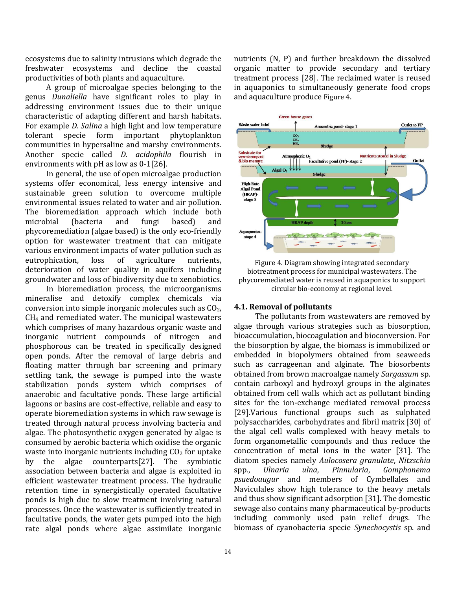ecosystems due to salinity intrusions which degrade the freshwater ecosystems and decline the coastal productivities of both plants and aquaculture.

A group of microalgae species belonging to the genus *Dunaliella* have significant roles to play in addressing environment issues due to their unique characteristic of adapting different and harsh habitats. For example *D. Salina* a high light and low temperature tolerant specie form important phytoplankton communities in hypersaline and marshy environments. Another specie called *D. acidophila* flourish in environments with pH as low as 0-1[26].

In general, the use of open microalgae production systems offer economical, less energy intensive and sustainable green solution to overcome multiple environmental issues related to water and air pollution. The bioremediation approach which include both microbial (bacteria and fungi based) and phycoremediation (algae based) is the only eco-friendly option for wastewater treatment that can mitigate various environment impacts of water pollution such as eutrophication, loss of agriculture nutrients, deterioration of water quality in aquifers including groundwater and loss of biodiversity due to xenobiotics.

In bioremediation process, the microorganisms mineralise and detoxify complex chemicals via conversion into simple inorganic molecules such as  $CO<sub>2</sub>$ , CH<sup>4</sup> and remediated water. The municipal wastewaters which comprises of many hazardous organic waste and inorganic nutrient compounds of nitrogen and phosphorous can be treated in specifically designed open ponds. After the removal of large debris and floating matter through bar screening and primary settling tank, the sewage is pumped into the waste stabilization ponds system which comprises of anaerobic and facultative ponds. These large artificial lagoons or basins are cost-effective, reliable and easy to operate bioremediation systems in which raw sewage is treated through natural process involving bacteria and algae. The photosynthetic oxygen generated by algae is consumed by aerobic bacteria which oxidise the organic waste into inorganic nutrients including  $CO<sub>2</sub>$  for uptake by the algae counterparts[27]. The symbiotic association between bacteria and algae is exploited in efficient wastewater treatment process. The hydraulic retention time in synergistically operated facultative ponds is high due to slow treatment involving natural processes. Once the wastewater is sufficiently treated in facultative ponds, the water gets pumped into the high rate algal ponds where algae assimilate inorganic

nutrients (N, P) and further breakdown the dissolved organic matter to provide secondary and tertiary treatment process [28]. The reclaimed water is reused in aquaponics to simultaneously generate food crops and aquaculture produce [Figure 4](#page-5-0).



<span id="page-5-0"></span>Figure 4. Diagram showing integrated secondary biotreatment process for municipal wastewaters. The phycoremediated water is reused in aquaponics to support circular bio-economy at regional level.

## **4.1. Removal of pollutants**

The pollutants from wastewaters are removed by algae through various strategies such as biosorption, bioaccumulation, biocoagulation and bioconversion. For the biosorption by algae, the biomass is immobilized or embedded in biopolymers obtained from seaweeds such as carrageenan and alginate. The biosorbents obtained from brown macroalgae namely *Sargassum* sp. contain carboxyl and hydroxyl groups in the alginates obtained from cell walls which act as pollutant binding sites for the ion-exchange mediated removal process [29].Various functional groups such as sulphated polysaccharides, carbohydrates and fibril matrix [30] of the algal cell walls complexed with heavy metals to form organometallic compounds and thus reduce the concentration of metal ions in the water [31]. The diatom species namely *Aulocosera granulate*, *Nitzschia*  spp., *Ulnaria ulna*, *Pinnularia*, *Gomphonema psuedoaugur* and members of Cymbellales and Naviculales show high tolerance to the heavy metals and thus show significant adsorption [31]. The domestic sewage also contains many pharmaceutical by-products including commonly used pain relief drugs. The biomass of cyanobacteria specie *Synechocystis* sp. and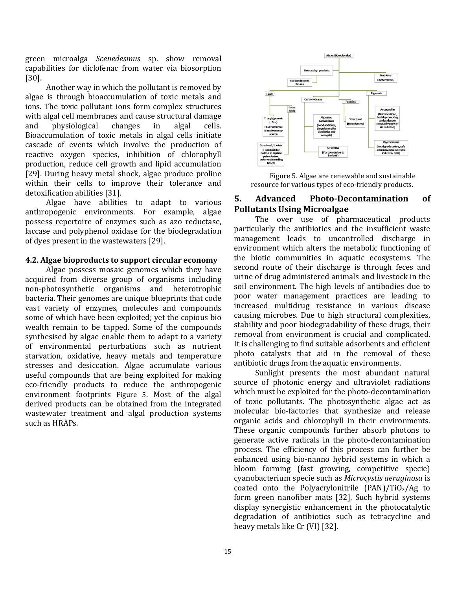green microalga *Scenedesmus* sp. show removal capabilities for diclofenac from water via biosorption [30].

Another way in which the pollutant is removed by algae is through bioaccumulation of toxic metals and ions. The toxic pollutant ions form complex structures with algal cell membranes and cause structural damage and physiological changes in algal cells. Bioaccumulation of toxic metals in algal cells initiate cascade of events which involve the production of reactive oxygen species, inhibition of chlorophyll production, reduce cell growth and lipid accumulation [29]. During heavy metal shock, algae produce proline within their cells to improve their tolerance and detoxification abilities [31].

Algae have abilities to adapt to various anthropogenic environments. For example, algae possess repertoire of enzymes such as azo reductase, laccase and polyphenol oxidase for the biodegradation of dyes present in the wastewaters [29].

#### **4.2. Algae bioproducts to support circular economy**

Algae possess mosaic genomes which they have acquired from diverse group of organisms including non-photosynthetic organisms and heterotrophic bacteria. Their genomes are unique blueprints that code vast variety of enzymes, molecules and compounds some of which have been exploited; yet the copious bio wealth remain to be tapped. Some of the compounds synthesised by algae enable them to adapt to a variety of environmental perturbations such as nutrient starvation, oxidative, heavy metals and temperature stresses and desiccation. Algae accumulate various useful compounds that are being exploited for making eco-friendly products to reduce the anthropogenic environment footprints [Figure 5](#page-6-0). Most of the algal derived products can be obtained from the integrated wastewater treatment and algal production systems such as HRAPs.



<span id="page-6-0"></span>Figure 5. Algae are renewable and sustainable resource for various types of eco-friendly products.

## **5. Advanced Photo-Decontamination of Pollutants Using Microalgae**

The over use of pharmaceutical products particularly the antibiotics and the insufficient waste management leads to uncontrolled discharge in environment which alters the metabolic functioning of the biotic communities in aquatic ecosystems. The second route of their discharge is through feces and urine of drug administered animals and livestock in the soil environment. The high levels of antibodies due to poor water management practices are leading to increased multidrug resistance in various disease causing microbes. Due to high structural complexities, stability and poor biodegradability of these drugs, their removal from environment is crucial and complicated. It is challenging to find suitable adsorbents and efficient photo catalysts that aid in the removal of these antibiotic drugs from the aquatic environments.

Sunlight presents the most abundant natural source of photonic energy and ultraviolet radiations which must be exploited for the photo-decontamination of toxic pollutants. The photosynthetic algae act as molecular bio-factories that synthesize and release organic acids and chlorophyll in their environments. These organic compounds further absorb photons to generate active radicals in the photo-decontamination process. The efficiency of this process can further be enhanced using bio-nanno hybrid systems in which a bloom forming (fast growing, competitive specie) cyanobacterium specie such as *Microcystis aeruginosa* is coated onto the Polyacrylonitrile  $(PAN)/TiO<sub>2</sub>/Ag$  to form green nanofiber mats [32]. Such hybrid systems display synergistic enhancement in the photocatalytic degradation of antibiotics such as tetracycline and heavy metals like Cr (VI) [32].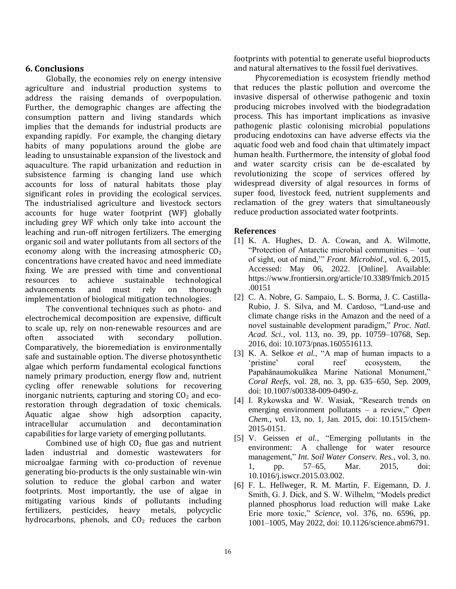## **6. Conclusions**

Globally, the economies rely on energy intensive agriculture and industrial production systems to address the raising demands of overpopulation. Further, the demographic changes are affecting the consumption pattern and living standards which implies that the demands for industrial products are expanding rapidly. For example, the changing dietary habits of many populations around the globe are leading to unsustainable expansion of the livestock and aquaculture. The rapid urbanization and reduction in subsistence farming is changing land use which accounts for loss of natural habitats those play significant roles in providing the ecological services. The industrialised agriculture and livestock sectors accounts for huge water footprint (WF) globally including grey WF which only take into account the leaching and run-off nitrogen fertilizers. The emerging organic soil and water pollutants from all sectors of the economy along with the increasing atmospheric  $CO<sub>2</sub>$ concentrations have created havoc and need immediate fixing. We are pressed with time and conventional resources to achieve sustainable technological advancements and must rely on thorough implementation of biological mitigation technologies.

The conventional techniques such as photo- and electrochemical decomposition are expensive, difficult to scale up, rely on non-renewable resources and are often associated with secondary pollution. Comparatively, the bioremediation is environmentally safe and sustainable option. The diverse photosynthetic algae which perform fundamental ecological functions namely primary production, energy flow and, nutrient cycling offer renewable solutions for recovering inorganic nutrients, capturing and storing  $CO<sub>2</sub>$  and ecorestoration through degradation of toxic chemicals. Aquatic algae show high adsorption capacity, intracellular accumulation and decontamination capabilities for large variety of emerging pollutants.

Combined use of high  $CO<sub>2</sub>$  flue gas and nutrient laden industrial and domestic wastewaters for microalgae farming with co-production of revenue generating bio-products is the only sustainable win-win solution to reduce the global carbon and water footprints. Most importantly, the use of algae in mitigating various kinds of pollutants including fertilizers, pesticides, heavy metals, polycyclic hydrocarbons, phenols, and  $CO<sub>2</sub>$  reduces the carbon

footprints with potential to generate useful bioproducts and natural alternatives to the fossil fuel derivatives.

Phycoremediation is ecosystem friendly method that reduces the plastic pollution and overcome the invasive dispersal of otherwise pathogenic and toxin producing microbes involved with the biodegradation process. This has important implications as invasive pathogenic plastic colonising microbial populations producing endotoxins can have adverse effects via the aquatic food web and food chain that ultimately impact human health. Furthermore, the intensity of global food and water scarcity crisis can be de-escalated by revolutionizing the scope of services offered by widespread diversity of algal resources in forms of super food, livestock feed, nutrient supplements and reclamation of the grey waters that simultaneously reduce production associated water footprints.

#### **References**

- [1] K. A. Hughes, D. A. Cowan, and A. Wilmotte, "Protection of Antarctic microbial communities – 'out of sight, out of mind,'" *Front. Microbiol.*, vol. 6, 2015, Accessed: May 06, 2022. [Online]. Available: https://www.frontiersin.org/article/10.3389/fmicb.2015 .00151
- [2] C. A. Nobre, G. Sampaio, L. S. Borma, J. C. Castilla-Rubio, J. S. Silva, and M. Cardoso, "Land-use and climate change risks in the Amazon and the need of a novel sustainable development paradigm," *Proc. Natl. Acad. Sci.*, vol. 113, no. 39, pp. 10759–10768, Sep. 2016, doi: 10.1073/pnas.1605516113.
- [3] K. A. Selkoe *et al.*, "A map of human impacts to a 'pristine' coral reef ecosystem, the Papahānaumokuākea Marine National Monument," *Coral Reefs*, vol. 28, no. 3, pp. 635–650, Sep. 2009, doi: 10.1007/s00338-009-0490-z.
- [4] I. Rykowska and W. Wasiak, "Research trends on emerging environment pollutants – a review," *Open Chem.*, vol. 13, no. 1, Jan. 2015, doi: 10.1515/chem-2015-0151.
- [5] V. Geissen *et al.*, "Emerging pollutants in the environment: A challenge for water resource management," *Int. Soil Water Conserv. Res.*, vol. 3, no. 1, pp. 57–65, Mar. 2015, doi: 10.1016/j.iswcr.2015.03.002.
- [6] F. L. Hellweger, R. M. Martin, F. Eigemann, D. J. Smith, G. J. Dick, and S. W. Wilhelm, "Models predict planned phosphorus load reduction will make Lake Erie more toxic," *Science*, vol. 376, no. 6596, pp. 1001–1005, May 2022, doi: 10.1126/science.abm6791.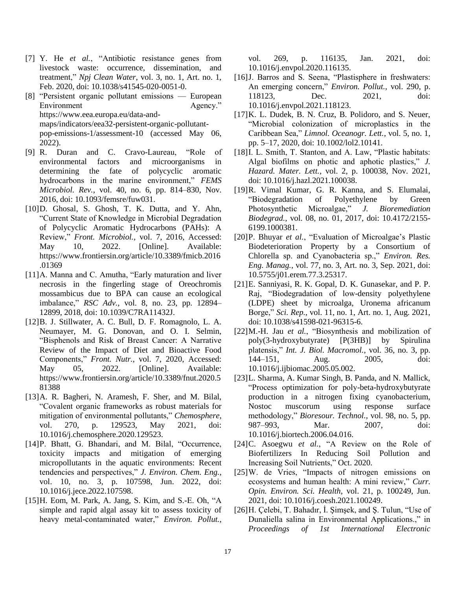- [7] Y. He *et al.*, "Antibiotic resistance genes from livestock waste: occurrence, dissemination, and treatment," *Npj Clean Water*, vol. 3, no. 1, Art. no. 1, Feb. 2020, doi: 10.1038/s41545-020-0051-0.
- [8] "Persistent organic pollutant emissions European Environment Agency." https://www.eea.europa.eu/data-andmaps/indicators/eea32-persistent-organic-pollutantpop-emissions-1/assessment-10 (accessed May 06, 2022).
- [9] R. Duran and C. Cravo-Laureau, "Role of environmental factors and microorganisms in determining the fate of polycyclic aromatic hydrocarbons in the marine environment," *FEMS Microbiol. Rev.*, vol. 40, no. 6, pp. 814–830, Nov. 2016, doi: 10.1093/femsre/fuw031.
- [10]D. Ghosal, S. Ghosh, T. K. Dutta, and Y. Ahn, "Current State of Knowledge in Microbial Degradation of Polycyclic Aromatic Hydrocarbons (PAHs): A Review," *Front. Microbiol.*, vol. 7, 2016, Accessed: May 10, 2022. [Online]. Available: https://www.frontiersin.org/article/10.3389/fmicb.2016 .01369
- [11]A. Manna and C. Amutha, "Early maturation and liver necrosis in the fingerling stage of Oreochromis mossambicus due to BPA can cause an ecological imbalance," *RSC Adv.*, vol. 8, no. 23, pp. 12894– 12899, 2018, doi: 10.1039/C7RA11432J.
- [12]B. J. Stillwater, A. C. Bull, D. F. Romagnolo, L. A. Neumayer, M. G. Donovan, and O. I. Selmin, "Bisphenols and Risk of Breast Cancer: A Narrative Review of the Impact of Diet and Bioactive Food Components," *Front. Nutr.*, vol. 7, 2020, Accessed: May 05, 2022. [Online]. Available: https://www.frontiersin.org/article/10.3389/fnut.2020.5 81388
- [13]A. R. Bagheri, N. Aramesh, F. Sher, and M. Bilal, "Covalent organic frameworks as robust materials for mitigation of environmental pollutants," *Chemosphere*, vol. 270, p. 129523, May 2021, doi: 10.1016/j.chemosphere.2020.129523.
- [14]P. Bhatt, G. Bhandari, and M. Bilal, "Occurrence, toxicity impacts and mitigation of emerging micropollutants in the aquatic environments: Recent tendencies and perspectives," *J. Environ. Chem. Eng.*, vol. 10, no. 3, p. 107598, Jun. 2022, doi: 10.1016/j.jece.2022.107598.
- [15]H. Eom, M. Park, A. Jang, S. Kim, and S.-E. Oh, "A simple and rapid algal assay kit to assess toxicity of heavy metal-contaminated water," *Environ. Pollut.*,

vol. 269, p. 116135, Jan. 2021, doi: 10.1016/j.envpol.2020.116135.

- [16]J. Barros and S. Seena, "Plastisphere in freshwaters: An emerging concern," *Environ. Pollut.*, vol. 290, p. 118123, Dec. 2021, doi: 10.1016/j.envpol.2021.118123.
- [17] K. L. Dudek, B. N. Cruz, B. Polidoro, and S. Neuer, "Microbial colonization of microplastics in the Caribbean Sea," *Limnol. Oceanogr. Lett.*, vol. 5, no. 1, pp. 5–17, 2020, doi: 10.1002/lol2.10141.
- [18] I. L. Smith, T. Stanton, and A. Law, "Plastic habitats: Algal biofilms on photic and aphotic plastics," *J. Hazard. Mater. Lett.*, vol. 2, p. 100038, Nov. 2021, doi: 10.1016/j.hazl.2021.100038.
- [19]R. Vimal Kumar, G. R. Kanna, and S. Elumalai, "Biodegradation of Polyethylene by Green Photosynthetic Microalgae," *J. Bioremediation Biodegrad.*, vol. 08, no. 01, 2017, doi: 10.4172/2155- 6199.1000381.
- [20]P. Bhuyar *et al.*, "Evaluation of Microalgae's Plastic Biodeterioration Property by a Consortium of Chlorella sp. and Cyanobacteria sp.," *Environ. Res. Eng. Manag.*, vol. 77, no. 3, Art. no. 3, Sep. 2021, doi: 10.5755/j01.erem.77.3.25317.
- [21]E. Sanniyasi, R. K. Gopal, D. K. Gunasekar, and P. P. Raj, "Biodegradation of low-density polyethylene (LDPE) sheet by microalga, Uronema africanum Borge," *Sci. Rep.*, vol. 11, no. 1, Art. no. 1, Aug. 2021, doi: 10.1038/s41598-021-96315-6.
- [22]M.-H. Jau *et al.*, "Biosynthesis and mobilization of poly(3-hydroxybutyrate) [P(3HB)] by Spirulina platensis," *Int. J. Biol. Macromol.*, vol. 36, no. 3, pp. 144–151, Aug. 2005, doi: 10.1016/j.ijbiomac.2005.05.002.
- [23]L. Sharma, A. Kumar Singh, B. Panda, and N. Mallick, "Process optimization for poly-beta-hydroxybutyrate production in a nitrogen fixing cyanobacterium, Nostoc muscorum using response surface methodology," *Bioresour. Technol.*, vol. 98, no. 5, pp. 987–993, Mar. 2007, doi: 10.1016/j.biortech.2006.04.016.
- [24]C. Asoegwu *et al.*, "A Review on the Role of Biofertilizers In Reducing Soil Pollution and Increasing Soil Nutrients," Oct. 2020.
- [25]W. de Vries, "Impacts of nitrogen emissions on ecosystems and human health: A mini review," *Curr. Opin. Environ. Sci. Health*, vol. 21, p. 100249, Jun. 2021, doi: 10.1016/j.coesh.2021.100249.
- [26]H. Çelebi, T. Bahadır, İ. Şimşek, and Ş. Tulun, "Use of Dunaliella salina in Environmental Applications.," in *Proceedings of 1st International Electronic*